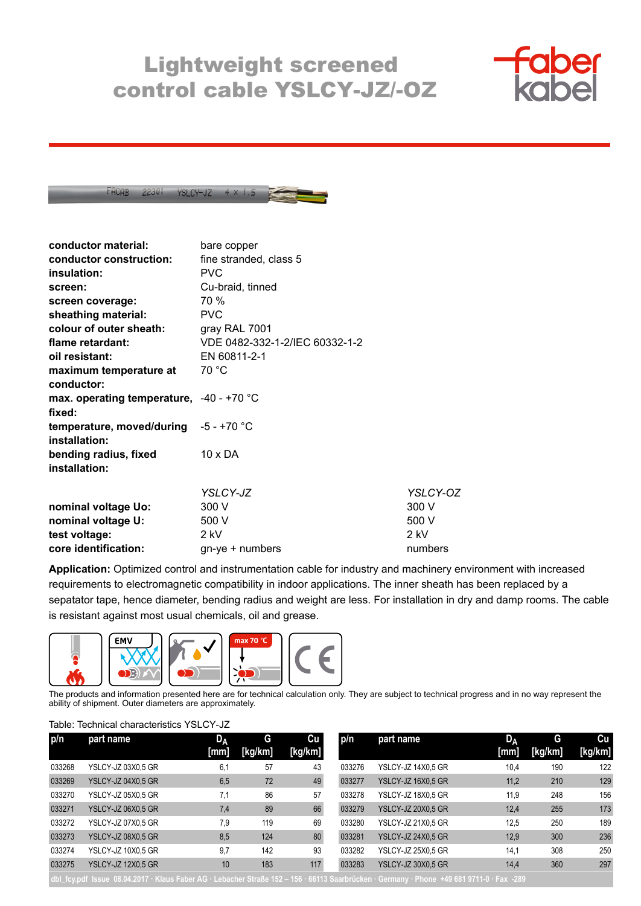## Lightweight screened control cable YSLCY-JZ/-OZ





| conductor material:                      | bare copper                    |          |
|------------------------------------------|--------------------------------|----------|
| conductor construction:                  | fine stranded, class 5         |          |
| insulation:                              | <b>PVC</b>                     |          |
| screen:                                  | Cu-braid, tinned               |          |
| screen coverage:                         | 70 %                           |          |
| sheathing material:                      | <b>PVC</b>                     |          |
| colour of outer sheath:                  | gray RAL 7001                  |          |
| flame retardant:                         | VDE 0482-332-1-2/IEC 60332-1-2 |          |
| oil resistant:                           | EN 60811-2-1                   |          |
| maximum temperature at                   | 70 °C                          |          |
| conductor:                               |                                |          |
| max. operating temperature, -40 - +70 °C |                                |          |
| fixed:                                   |                                |          |
| temperature, moved/during $-5 - +70$ °C  |                                |          |
| installation:                            |                                |          |
| bending radius, fixed                    | $10 \times DA$                 |          |
| installation:                            |                                |          |
|                                          |                                |          |
|                                          | YSLCY-JZ                       | YSLCY-OZ |
| nominal voltage Uo:                      | 300 V                          | 300 V    |
| nominal voltage U:                       | 500 V                          | 500 V    |
| test voltage:                            | 2 kV                           | 2 kV     |
| core identification:                     | $gn$ -ye + numbers             | numbers  |

**Application:** Optimized control and instrumentation cable for industry and machinery environment with increased requirements to electromagnetic compatibility in indoor applications. The inner sheath has been replaced by a sepatator tape, hence diameter, bending radius and weight are less. For installation in dry and damp rooms. The cable is resistant against most usual chemicals, oil and grease.



The products and information presented here are for technical calculation only. They are subject to technical progress and in no way represent the ability of shipment. Outer diameters are approximately.

## Table: Technical characteristics YSLCY-JZ

| p/n    | part name                                                                                                                                 | D <sub>A</sub> | G       | Cu      | p/n    | part name                 | D <sub>A</sub> | G       | Cu      |
|--------|-------------------------------------------------------------------------------------------------------------------------------------------|----------------|---------|---------|--------|---------------------------|----------------|---------|---------|
|        |                                                                                                                                           | [mm]           | [kg/km] | [kg/km] |        |                           | [mm]           | [kg/km] | [kg/km] |
| 033268 | YSLCY-JZ 03X0,5 GR                                                                                                                        | 6,1            | 57      | 43      | 033276 | YSLCY-JZ 14X0.5 GR        | 10,4           | 190     | 122     |
| 033269 | YSLCY-JZ 04X0,5 GR                                                                                                                        | 6,5            | 72      | 49      | 033277 | YSLCY-JZ 16X0.5 GR        | 11,2           | 210     | 129     |
| 033270 | YSLCY-JZ 05X0.5 GR                                                                                                                        | 7.1            | 86      | 57      | 033278 | YSLCY-JZ 18X0.5 GR        | 11,9           | 248     | 156     |
| 033271 | YSLCY-JZ 06X0,5 GR                                                                                                                        | 7,4            | 89      | 66      | 033279 | <b>YSLCY-JZ 20X0.5 GR</b> | 12,4           | 255     | 173     |
| 033272 | YSLCY-JZ 07X0.5 GR                                                                                                                        | 7.9            | 119     | 69      | 033280 | <b>YSLCY-JZ 21X0.5 GR</b> | 12.5           | 250     | 189     |
| 033273 | YSLCY-JZ 08X0,5 GR                                                                                                                        | 8,5            | 124     | 80      | 033281 | YSLCY-JZ 24X0.5 GR        | 12.9           | 300     | 236     |
| 033274 | YSLCY-JZ 10X0.5 GR                                                                                                                        | 9,7            | 142     | 93      | 033282 | YSLCY-JZ 25X0.5 GR        | 14,1           | 308     | 250     |
| 033275 | YSLCY-JZ 12X0,5 GR                                                                                                                        | 10             | 183     | 117     | 033283 | YSLCY-JZ 30X0.5 GR        | 14,4           | 360     | 297     |
|        | dbl fcy.pdf Issue 08.04.2017 · Klaus Faber AG · Lebacher Straße 152 - 156 · 66113 Saarbrücken · Germany · Phone +49 681 9711-0 · Fax -289 |                |         |         |        |                           |                |         |         |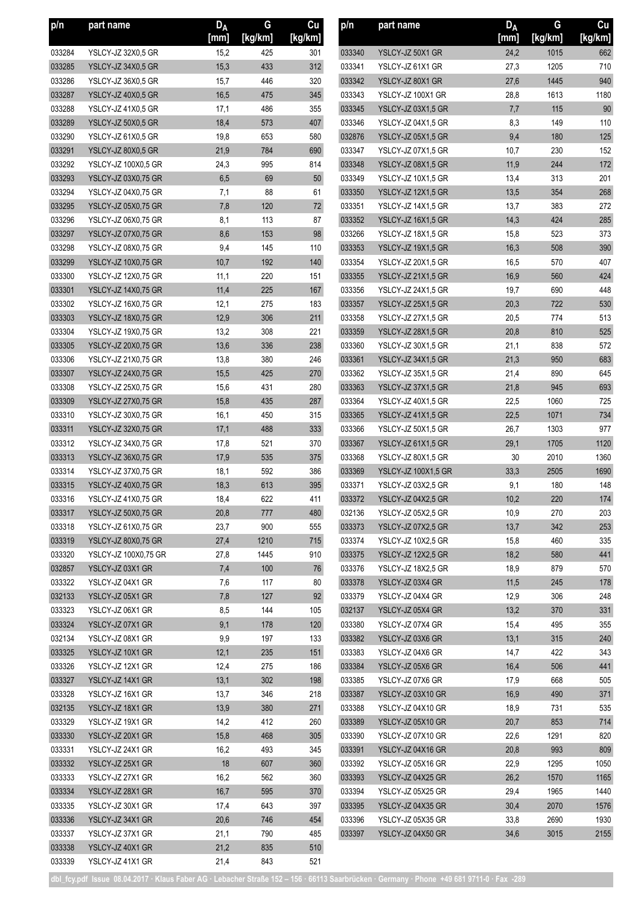| p/n              | part name                            | D <sub>A</sub> | G          | Cu<br>[kg/km] | p/n              | part name                              | D <sub>A</sub><br>[mm] | G          | Cu             |
|------------------|--------------------------------------|----------------|------------|---------------|------------------|----------------------------------------|------------------------|------------|----------------|
|                  |                                      | [mm]           | [kg/km]    |               |                  |                                        |                        | [kg/km]    | [kg/km]        |
| 033284           | YSLCY-JZ 32X0.5 GR                   | 15,2           | 425        | 301           | 033340           | YSLCY-JZ 50X1 GR                       | 24,2                   | 1015       | 662            |
| 033285           | YSLCY-JZ 34X0,5 GR                   | 15,3           | 433        | 312           | 033341           | YSLCY-JZ 61X1 GR                       | 27,3                   | 1205       | 710            |
| 033286           | YSLCY-JZ 36X0,5 GR                   | 15,7           | 446        | 320           | 033342           | YSLCY-JZ 80X1 GR                       | 27,6                   | 1445       | 940            |
| 033287           | YSLCY-JZ 40X0,5 GR                   | 16,5           | 475<br>486 | 345           | 033343           | YSLCY-JZ 100X1 GR                      | 28,8                   | 1613       | 1180<br>$90\,$ |
| 033288           | YSLCY-JZ 41X0,5 GR                   | 17,1           |            | 355           | 033345           | YSLCY-JZ 03X1,5 GR                     | 7,7                    | 115        |                |
| 033289           | YSLCY-JZ 50X0,5 GR                   | 18,4           | 573        | 407           | 033346           | YSLCY-JZ 04X1,5 GR                     | 8,3                    | 149        | 110            |
| 033290           | YSLCY-JZ 61X0.5 GR                   | 19,8           | 653        | 580           | 032876           | YSLCY-JZ 05X1,5 GR                     | 9,4                    | 180        | 125            |
| 033291           | YSLCY-JZ 80X0,5 GR                   | 21,9           | 784        | 690           | 033347           | YSLCY-JZ 07X1,5 GR                     | 10,7                   | 230        | 152            |
| 033292           | YSLCY-JZ 100X0,5 GR                  | 24,3           | 995        | 814           | 033348           | YSLCY-JZ 08X1,5 GR                     | 11,9                   | 244        | 172            |
| 033293           | YSLCY-JZ 03X0,75 GR                  | 6,5            | 69         | $50\,$        | 033349           | YSLCY-JZ 10X1.5 GR                     | 13,4                   | 313        | 201            |
| 033294           | YSLCY-JZ 04X0,75 GR                  | 7,1            | 88         | 61            | 033350           | YSLCY-JZ 12X1,5 GR                     | 13,5                   | 354        | 268            |
| 033295           | YSLCY-JZ 05X0,75 GR                  | 7,8            | 120        | $72\,$        | 033351           | YSLCY-JZ 14X1,5 GR                     | 13,7                   | 383        | 272            |
| 033296           | YSLCY-JZ 06X0,75 GR                  | 8,1            | 113        | 87            | 033352           | YSLCY-JZ 16X1,5 GR                     | 14,3                   | 424        | 285            |
| 033297           | YSLCY-JZ 07X0,75 GR                  | 8,6            | 153        | 98            | 033266           | YSLCY-JZ 18X1.5 GR                     | 15,8                   | 523        | 373            |
| 033298           | YSLCY-JZ 08X0,75 GR                  | 9,4            | 145        | 110           | 033353           | YSLCY-JZ 19X1,5 GR                     | 16,3                   | 508        | 390            |
| 033299           | <b>YSLCY-JZ 10X0,75 GR</b>           | 10,7           | 192        | 140           | 033354           | <b>YSLCY-JZ 20X1.5 GR</b>              | 16,5                   | 570        | 407            |
| 033300           | YSLCY-JZ 12X0,75 GR                  | 11,1           | 220        | 151           | 033355           | YSLCY-JZ 21X1,5 GR                     | 16,9                   | 560        | 424            |
| 033301           | <b>YSLCY-JZ 14X0,75 GR</b>           | 11,4           | 225        | 167           | 033356           | YSLCY-JZ 24X1,5 GR                     | 19,7                   | 690        | 448            |
| 033302           | YSLCY-JZ 16X0,75 GR                  | 12,1           | 275        | 183           | 033357           | YSLCY-JZ 25X1,5 GR                     | 20,3                   | 722        | 530            |
| 033303           | <b>YSLCY-JZ 18X0,75 GR</b>           | 12,9           | 306        | 211           | 033358           | YSLCY-JZ 27X1.5 GR                     | 20,5                   | 774        | 513            |
| 033304           | YSLCY-JZ 19X0,75 GR                  | 13,2           | 308        | 221           | 033359           | YSLCY-JZ 28X1,5 GR                     | 20,8                   | 810        | 525            |
| 033305           | YSLCY-JZ 20X0,75 GR                  | 13,6           | 336        | 238           | 033360           | <b>YSLCY-JZ 30X1.5 GR</b>              | 21,1                   | 838        | 572            |
| 033306           | YSLCY-JZ 21X0,75 GR                  | 13,8           | 380        | 246           | 033361           | YSLCY-JZ 34X1,5 GR                     | 21,3                   | 950        | 683            |
| 033307           | YSLCY-JZ 24X0,75 GR                  | 15,5           | 425        | 270           | 033362           | YSLCY-JZ 35X1,5 GR                     | 21,4                   | 890        | 645            |
| 033308           | YSLCY-JZ 25X0,75 GR                  | 15,6           | 431        | 280           | 033363           | YSLCY-JZ 37X1,5 GR                     | 21,8                   | 945        | 693            |
| 033309           | YSLCY-JZ 27X0,75 GR                  | 15,8           | 435        | 287           | 033364           | YSLCY-JZ 40X1,5 GR                     | 22,5                   | 1060       | 725            |
| 033310           | YSLCY-JZ 30X0,75 GR                  | 16,1           | 450        | 315           | 033365           | YSLCY-JZ 41X1,5 GR                     | 22,5                   | 1071       | 734            |
| 033311           | YSLCY-JZ 32X0,75 GR                  | 17,1           | 488        | 333           | 033366           | YSLCY-JZ 50X1,5 GR                     | 26,7                   | 1303       | 977            |
| 033312           | YSLCY-JZ 34X0,75 GR                  | 17,8           | 521        | 370           | 033367           | YSLCY-JZ 61X1,5 GR                     | 29,1                   | 1705       | 1120           |
| 033313           | YSLCY-JZ 36X0,75 GR                  | 17,9           | 535        | 375           | 033368           | YSLCY-JZ 80X1,5 GR                     | 30                     | 2010       | 1360           |
| 033314           | YSLCY-JZ 37X0,75 GR                  | 18,1           | 592        | 386           | 033369           | <b>YSLCY-JZ 100X1,5 GR</b>             | 33,3                   | 2505       | 1690           |
| 033315           | YSLCY-JZ 40X0,75 GR                  | 18,3           | 613        | 395           | 033371           | YSLCY-JZ 03X2,5 GR                     | 9,1                    | 180        | 148            |
| 033316           | YSLCY-JZ 41X0,75 GR                  | 18,4           | 622        | 411           | 033372           | YSLCY-JZ 04X2,5 GR                     | 10,2                   | 220        | 174            |
| 033317           | <b>YSLCY-JZ 50X0,75 GR</b>           | 20,8           | 777        | 480           | 032136           | YSLCY-JZ 05X2,5 GR                     | 10,9                   | 270        | 203            |
| 033318           | YSLCY-JZ 61X0,75 GR                  | 23,7           | 900        | 555           | 033373           | YSLCY-JZ 07X2,5 GR                     | 13,7                   | 342        | 253            |
| 033319           | YSLCY-JZ 80X0,75 GR                  | 27,4           | 1210       | 715           | 033374           | YSLCY-JZ 10X2,5 GR                     | 15,8                   | 460        | 335            |
| 033320           | YSLCY-JZ 100X0,75 GR                 | 27,8           | 1445       | 910           | 033375           | YSLCY-JZ 12X2.5 GR                     | 18,2                   | 580        | 441            |
| 032857           | YSLCY-JZ 03X1 GR                     | 7,4            | 100        | 76            | 033376           | YSLCY-JZ 18X2,5 GR<br>YSLCY-JZ 03X4 GR | 18,9                   | 879        | 570            |
| 033322           | YSLCY-JZ 04X1 GR                     | 7,6            | 117        | 80            | 033378           |                                        | 11,5                   | 245        | 178            |
| 032133           | YSLCY-JZ 05X1 GR<br>YSLCY-JZ 06X1 GR | 7,8            | 127        | 92            | 033379           | YSLCY-JZ 04X4 GR                       | 12,9                   | 306        | 248            |
| 033323<br>033324 | YSLCY-JZ 07X1 GR                     | 8,5<br>9,1     | 144<br>178 | 105<br>120    | 032137<br>033380 | YSLCY-JZ 05X4 GR                       | 13,2<br>15,4           | 370<br>495 | 331<br>355     |
| 032134           | YSLCY-JZ 08X1 GR                     | 9,9            | 197        | 133           |                  | YSLCY-JZ 07X4 GR<br>YSLCY-JZ 03X6 GR   | 13,1                   | 315        |                |
| 033325           | YSLCY-JZ 10X1 GR                     | 12,1           | 235        | 151           | 033382<br>033383 | YSLCY-JZ 04X6 GR                       | 14,7                   | 422        | 240<br>343     |
| 033326           | YSLCY-JZ 12X1 GR                     | 12,4           | 275        | 186           | 033384           | YSLCY-JZ 05X6 GR                       | 16,4                   | 506        | 441            |
| 033327           | YSLCY-JZ 14X1 GR                     | 13,1           | 302        | 198           | 033385           | YSLCY-JZ 07X6 GR                       | 17,9                   | 668        | 505            |
| 033328           | YSLCY-JZ 16X1 GR                     | 13,7           | 346        | 218           | 033387           | YSLCY-JZ 03X10 GR                      | 16,9                   | 490        | 371            |
| 032135           | YSLCY-JZ 18X1 GR                     | 13,9           | 380        | 271           | 033388           | YSLCY-JZ 04X10 GR                      | 18,9                   | 731        | 535            |
| 033329           | YSLCY-JZ 19X1 GR                     | 14,2           | 412        | 260           | 033389           | YSLCY-JZ 05X10 GR                      | 20,7                   | 853        | 714            |
| 033330           | YSLCY-JZ 20X1 GR                     | 15,8           | 468        | 305           | 033390           | YSLCY-JZ 07X10 GR                      | 22,6                   | 1291       | 820            |
| 033331           | YSLCY-JZ 24X1 GR                     | 16,2           | 493        | 345           | 033391           | YSLCY-JZ 04X16 GR                      | 20,8                   | 993        | 809            |
| 033332           | YSLCY-JZ 25X1 GR                     | 18             | 607        | 360           | 033392           | YSLCY-JZ 05X16 GR                      | 22,9                   | 1295       | 1050           |
| 033333           | YSLCY-JZ 27X1 GR                     | 16,2           | 562        | 360           | 033393           | YSLCY-JZ 04X25 GR                      | 26,2                   | 1570       | 1165           |
| 033334           | YSLCY-JZ 28X1 GR                     | 16,7           | 595        | 370           | 033394           | YSLCY-JZ 05X25 GR                      | 29,4                   | 1965       | 1440           |
| 033335           | YSLCY-JZ 30X1 GR                     | 17,4           | 643        | 397           | 033395           | YSLCY-JZ 04X35 GR                      | 30,4                   | 2070       | 1576           |
| 033336           | YSLCY-JZ 34X1 GR                     | 20,6           | 746        | 454           | 033396           | YSLCY-JZ 05X35 GR                      | 33,8                   | 2690       | 1930           |
| 033337           | YSLCY-JZ 37X1 GR                     | 21,1           | 790        | 485           | 033397           | YSLCY-JZ 04X50 GR                      | 34,6                   | 3015       | 2155           |
| 033338           | YSLCY-JZ 40X1 GR                     | 21,2           | 835        | 510           |                  |                                        |                        |            |                |
| 033339           | YSLCY-JZ 41X1 GR                     | 21,4           | 843        | 521           |                  |                                        |                        |            |                |
|                  |                                      |                |            |               |                  |                                        |                        |            |                |